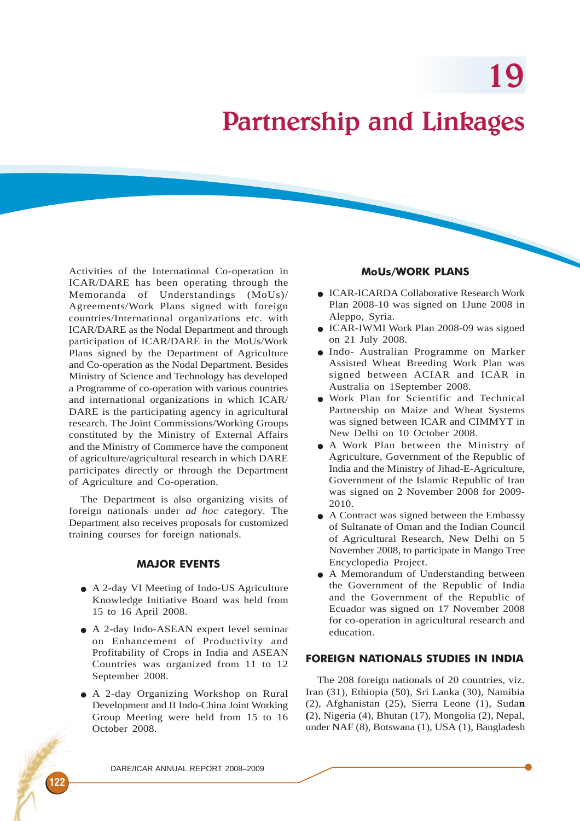19

# Partnership and Linkages

Activities of the International Co-operation in ICAR/DARE has been operating through the Memoranda of Understandings (MoUs)/ Agreements/Work Plans signed with foreign countries/International organizations etc. with ICAR/DARE as the Nodal Department and through participation of ICAR/DARE in the MoUs/Work Plans signed by the Department of Agriculture and Co-operation as the Nodal Department. Besides Ministry of Science and Technology has developed a Programme of co-operation with various countries and international organizations in which ICAR/ DARE is the participating agency in agricultural research. The Joint Commissions/Working Groups constituted by the Ministry of External Affairs and the Ministry of Commerce have the component of agriculture/agricultural research in which DARE participates directly or through the Department of Agriculture and Co-operation.

The Department is also organizing visits of foreign nationals under *ad hoc c*ategory. The Department also receives proposals for customized training courses for foreign nationals.

# MAJOR EVENTS

- A 2-day VI Meeting of Indo-US Agriculture Knowledge Initiative Board was held from 15 to 16 April 2008.
- A 2-day Indo-ASEAN expert level seminar on Enhancement of Productivity and Profitability of Crops in India and ASEAN Countries was organized from 11 to 12 September 2008.
- A 2-day Organizing Workshop on Rural Development and II Indo-China Joint Working Group Meeting were held from 15 to 16 October 2008.

#### MoUs/WORK PLANS

- ICAR-ICARDA Collaborative Research Work Plan 2008-10 was signed on 1June 2008 in Aleppo, Syria.
- ICAR-IWMI Work Plan 2008-09 was signed on 21 July 2008.
- Indo- Australian Programme on Marker Assisted Wheat Breeding Work Plan was signed between ACIAR and ICAR in Australia on 1September 2008.
- Work Plan for Scientific and Technical Partnership on Maize and Wheat Systems was signed between ICAR and CIMMYT in New Delhi on 10 October 2008.
- A Work Plan between the Ministry of Agriculture, Government of the Republic of India and the Ministry of Jihad-E-Agriculture, Government of the Islamic Republic of Iran was signed on 2 November 2008 for 2009- 2010.
- A Contract was signed between the Embassy of Sultanate of Oman and the Indian Council of Agricultural Research, New Delhi on 5 November 2008, to participate in Mango Tree Encyclopedia Project.
- A Memorandum of Understanding between the Government of the Republic of India and the Government of the Republic of Ecuador was signed on 17 November 2008 for co-operation in agricultural research and education.

# FOREIGN NATIONALS STUDIES IN INDIA

The 208 foreign nationals of 20 countries, viz. Iran (31), Ethiopia (50), Sri Lanka (30), Namibia (2), Afghanistan (25), Sierra Leone (1), Suda**n (**2), Nigeria (4), Bhutan (17), Mongolia (2), Nepal, under NAF (8), Botswana (1), USA (1), Bangladesh

122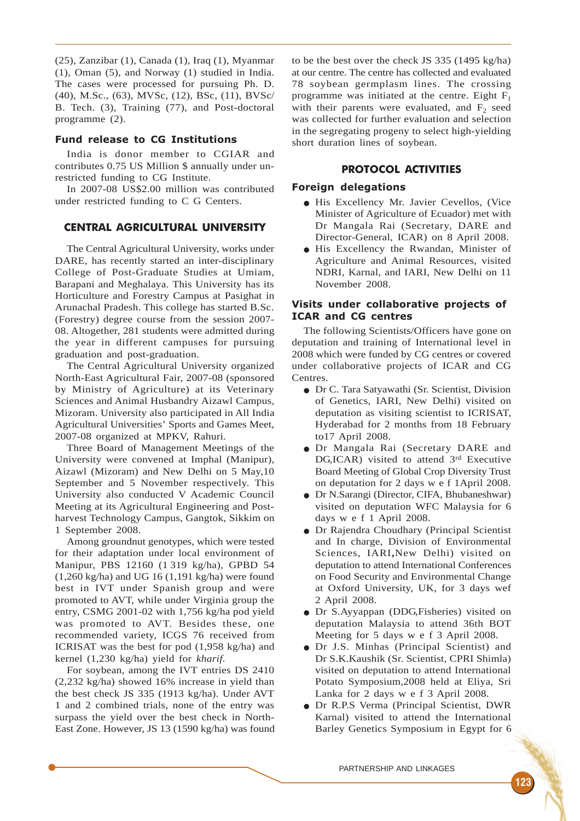(25), Zanzibar (1), Canada (1), Iraq (1), Myanmar (1), Oman (5), and Norway (1) studied in India. The cases were processed for pursuing Ph. D. (40), M.Sc., (63), MVSc, (12), BSc, (11), BVSc/ B. Tech. (3), Training (77), and Post-doctoral programme (2).

#### Fund release to CG Institutions

India is donor member to CGIAR and contributes 0.75 US Million \$ annually under unrestricted funding to CG Institute.

In 2007-08 US\$2.00 million was contributed under restricted funding to C G Centers.

#### CENTRAL AGRICULTURAL UNIVERSITY

The Central Agricultural University, works under DARE, has recently started an inter-disciplinary College of Post-Graduate Studies at Umiam, Barapani and Meghalaya. This University has its Horticulture and Forestry Campus at Pasighat in Arunachal Pradesh. This college has started B.Sc. (Forestry) degree course from the session 2007- 08. Altogether, 281 students were admitted during the year in different campuses for pursuing graduation and post-graduation.

The Central Agricultural University organized North-East Agricultural Fair, 2007-08 (sponsored by Ministry of Agriculture) at its Veterinary Sciences and Animal Husbandry Aizawl Campus, Mizoram. University also participated in All India Agricultural Universities' Sports and Games Meet, 2007-08 organized at MPKV, Rahuri.

Three Board of Management Meetings of the University were convened at Imphal (Manipur), Aizawl (Mizoram) and New Delhi on 5 May,10 September and 5 November respectively. This University also conducted V Academic Council Meeting at its Agricultural Engineering and Postharvest Technology Campus, Gangtok, Sikkim on 1 September 2008.

Among groundnut genotypes, which were tested for their adaptation under local environment of Manipur, PBS 12160 (1 319 kg/ha), GPBD 54 (1,260 kg/ha) and UG 16 (1,191 kg/ha) were found best in IVT under Spanish group and were promoted to AVT, while under Virginia group the entry, CSMG 2001-02 with 1,756 kg/ha pod yield was promoted to AVT. Besides these, one recommended variety, ICGS 76 received from ICRISAT was the best for pod (1,958 kg/ha) and kernel (1,230 kg/ha) yield for *kharif.*

For soybean, among the IVT entries DS 2410 (2,232 kg/ha) showed 16% increase in yield than the best check JS 335 (1913 kg/ha). Under AVT 1 and 2 combined trials, none of the entry was surpass the yield over the best check in North-East Zone. However, JS 13 (1590 kg/ha) was found to be the best over the check JS 335 (1495 kg/ha) at our centre. The centre has collected and evaluated 78 soybean germplasm lines. The crossing programme was initiated at the centre. Eight  $F_1$ with their parents were evaluated, and  $F<sub>2</sub>$  seed was collected for further evaluation and selection in the segregating progeny to select high-yielding short duration lines of soybean.

#### PROTOCOL ACTIVITIES

#### Foreign delegations

- His Excellency Mr. Javier Cevellos, (Vice Minister of Agriculture of Ecuador) met with Dr Mangala Rai (Secretary, DARE and Director-General, ICAR) on 8 April 2008.
- His Excellency the Rwandan, Minister of Agriculture and Animal Resources, visited NDRI, Karnal, and IARI, New Delhi on 11 November 2008.

#### Visits under collaborative projects of ICAR and CG centres

The following Scientists/Officers have gone on deputation and training of International level in 2008 which were funded by CG centres or covered under collaborative projects of ICAR and CG Centres.

- Dr C. Tara Satyawathi (Sr. Scientist, Division of Genetics, IARI, New Delhi) visited on deputation as visiting scientist to ICRISAT, Hyderabad for 2 months from 18 February to17 April 2008.
- Dr Mangala Rai (Secretary DARE and DG,ICAR) visited to attend 3rd Executive Board Meeting of Global Crop Diversity Trust on deputation for 2 days w e f 1April 2008.
- Dr N.Sarangi (Director, CIFA, Bhubaneshwar) visited on deputation WFC Malaysia for 6 days w e f 1 April 2008.
- Dr Rajendra Choudhary (Principal Scientist and In charge, Division of Environmental Sciences, IARI**,**New Delhi) visited on deputation to attend International Conferences on Food Security and Environmental Change at Oxford University, UK, for 3 days wef 2 April 2008.
- Dr S.Ayyappan (DDG,Fisheries) visited on deputation Malaysia to attend 36th BOT Meeting for 5 days w e f 3 April 2008.
- Dr J.S. Minhas (Principal Scientist) and Dr S.K.Kaushik (Sr. Scientist, CPRI Shimla) visited on deputation to attend International Potato Symposium,2008 held at Eliya, Sri Lanka for 2 days w e f 3 April 2008.
- Dr R.P.S Verma (Principal Scientist, DWR Karnal) visited to attend the International Barley Genetics Symposium in Egypt for 6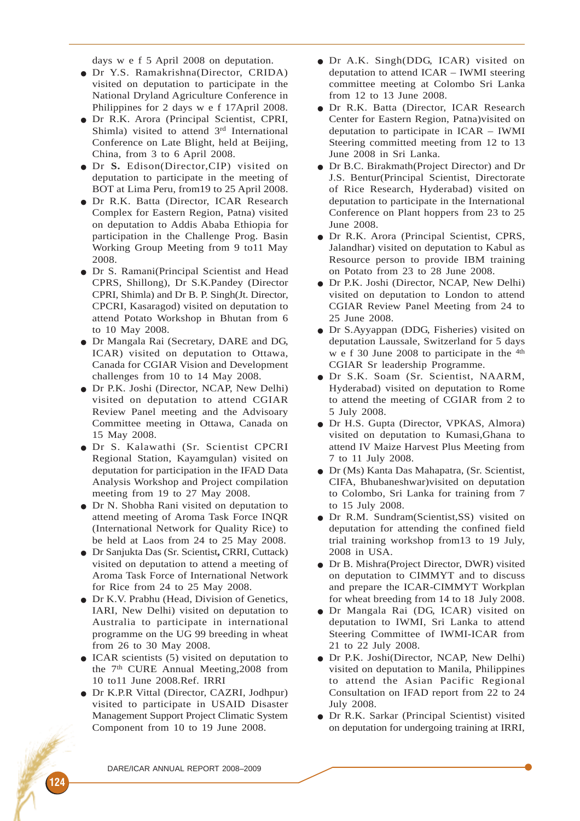days w e f 5 April 2008 on deputation.

- Dr Y.S. Ramakrishna(Director, CRIDA) visited on deputation to participate in the National Dryland Agriculture Conference in Philippines for 2 days w e f 17April 2008.
- Dr R.K. Arora (Principal Scientist, CPRI, Shimla) visited to attend 3<sup>rd</sup> International Conference on Late Blight, held at Beijing, China, from 3 to 6 April 2008.
- Dr **S.** Edison(Director,CIP) visited on deputation to participate in the meeting of BOT at Lima Peru, from19 to 25 April 2008.
- Dr R.K. Batta (Director, ICAR Research Complex for Eastern Region, Patna) visited on deputation to Addis Ababa Ethiopia for participation in the Challenge Prog. Basin Working Group Meeting from 9 to11 May 2008.
- Dr S. Ramani(Principal Scientist and Head CPRS, Shillong), Dr S.K.Pandey (Director CPRI, Shimla) and Dr B. P. Singh(Jt. Director, CPCRI, Kasaragod) visited on deputation to attend Potato Workshop in Bhutan from 6 to 10 May 2008.
- Dr Mangala Rai (Secretary, DARE and DG, ICAR) visited on deputation to Ottawa, Canada for CGIAR Vision and Development challenges from 10 to 14 May 2008.
- Dr P.K. Joshi (Director, NCAP, New Delhi) visited on deputation to attend CGIAR Review Panel meeting and the Advisoary Committee meeting in Ottawa, Canada on 15 May 2008.
- Dr S. Kalawathi (Sr. Scientist CPCRI Regional Station, Kayamgulan) visited on deputation for participation in the IFAD Data Analysis Workshop and Project compilation meeting from 19 to 27 May 2008.
- Dr N. Shobha Rani visited on deputation to attend meeting of Aroma Task Force INQR (International Network for Quality Rice) to be held at Laos from 24 to 25 May 2008.
- Dr Sanjukta Das (Sr. Scientist**,** CRRI, Cuttack) visited on deputation to attend a meeting of Aroma Task Force of International Network for Rice from 24 to 25 May 2008.
- Dr K.V. Prabhu (Head, Division of Genetics, IARI, New Delhi) visited on deputation to Australia to participate in international programme on the UG 99 breeding in wheat from 26 to 30 May 2008.
- ICAR scientists (5) visited on deputation to the 7th CURE Annual Meeting,2008 from 10 to11 June 2008.Ref. IRRI
- Dr K.P.R Vittal (Director, CAZRI, Jodhpur) visited to participate in USAID Disaster Management Support Project Climatic System Component from 10 to 19 June 2008.
- Dr A.K. Singh(DDG, ICAR) visited on deputation to attend ICAR – IWMI steering committee meeting at Colombo Sri Lanka from 12 to 13 June 2008.
- Dr R.K. Batta (Director, ICAR Research Center for Eastern Region, Patna)visited on deputation to participate in ICAR – IWMI Steering committed meeting from 12 to 13 June 2008 in Sri Lanka.
- Dr B.C. Birakmath(Project Director) and Dr J.S. Bentur(Principal Scientist, Directorate of Rice Research, Hyderabad) visited on deputation to participate in the International Conference on Plant hoppers from 23 to 25 June 2008.
- Dr R.K. Arora (Principal Scientist, CPRS, Jalandhar) visited on deputation to Kabul as Resource person to provide IBM training on Potato from 23 to 28 June 2008.
- Dr P.K. Joshi (Director, NCAP, New Delhi) visited on deputation to London to attend CGIAR Review Panel Meeting from 24 to 25 June 2008.
- Dr S.Ayyappan (DDG, Fisheries) visited on deputation Laussale, Switzerland for 5 days w e f 30 June 2008 to participate in the  $4<sup>th</sup>$ CGIAR Sr leadership Programme.
- Dr S.K. Soam (Sr. Scientist, NAARM, Hyderabad) visited on deputation to Rome to attend the meeting of CGIAR from 2 to 5 July 2008.
- Dr H.S. Gupta (Director, VPKAS, Almora) visited on deputation to Kumasi,Ghana to attend IV Maize Harvest Plus Meeting from 7 to 11 July 2008.
- Dr (Ms) Kanta Das Mahapatra, (Sr. Scientist, CIFA, Bhubaneshwar)visited on deputation to Colombo, Sri Lanka for training from 7 to 15 July 2008.
- Dr R.M. Sundram(Scientist,SS) visited on deputation for attending the confined field trial training workshop from13 to 19 July, 2008 in USA.
- Dr B. Mishra(Project Director, DWR) visited on deputation to CIMMYT and to discuss and prepare the ICAR-CIMMYT Workplan for wheat breeding from 14 to 18 July 2008.
- Dr Mangala Rai (DG, ICAR) visited on deputation to IWMI, Sri Lanka to attend Steering Committee of IWMI-ICAR from 21 to 22 July 2008.
- Dr P.K. Joshi(Director, NCAP, New Delhi) visited on deputation to Manila, Philippines to attend the Asian Pacific Regional Consultation on IFAD report from 22 to 24 July 2008.
- Dr R.K. Sarkar (Principal Scientist) visited on deputation for undergoing training at IRRI,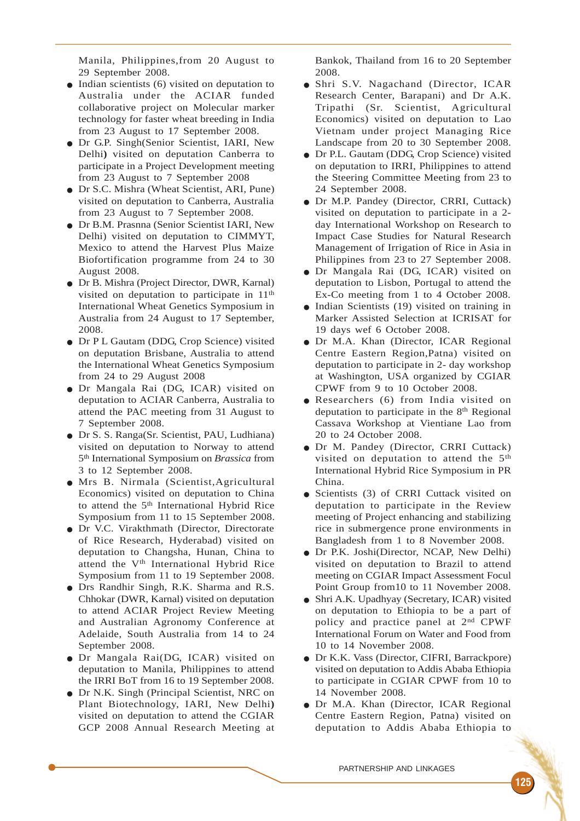Manila, Philippines,from 20 August to 29 September 2008.

- $\bullet$  Indian scientists (6) visited on deputation to Australia under the ACIAR funded collaborative project on Molecular marker technology for faster wheat breeding in India from 23 August to 17 September 2008.
- Dr G.P. Singh(Senior Scientist, IARI, New Delhi**)** visited on deputation Canberra to participate in a Project Development meeting from 23 August to 7 September 2008
- Dr S.C. Mishra (Wheat Scientist, ARI, Pune) visited on deputation to Canberra, Australia from 23 August to 7 September 2008.
- Dr B.M. Prasnna (Senior Scientist IARI, New Delhi) visited on deputation to CIMMYT, Mexico to attend the Harvest Plus Maize Biofortification programme from 24 to 30 August 2008.
- Dr B. Mishra (Project Director, DWR, Karnal) visited on deputation to participate in 11th International Wheat Genetics Symposium in Australia from 24 August to 17 September, 2008.
- Dr P L Gautam (DDG, Crop Science) visited on deputation Brisbane, Australia to attend the International Wheat Genetics Symposium from 24 to 29 August 2008
- Dr Mangala Rai (DG, ICAR) visited on deputation to ACIAR Canberra, Australia to attend the PAC meeting from 31 August to 7 September 2008.
- Dr S. S. Ranga(Sr. Scientist, PAU, Ludhiana) visited on deputation to Norway to attend 5th International Symposium on *Brassica* from 3 to 12 September 2008.
- Mrs B. Nirmala (Scientist,Agricultural Economics) visited on deputation to China to attend the 5<sup>th</sup> International Hybrid Rice Symposium from 11 to 15 September 2008.
- Dr V.C. Virakthmath (Director, Directorate of Rice Research, Hyderabad) visited on deputation to Changsha, Hunan, China to attend the V<sup>th</sup> International Hybrid Rice Symposium from 11 to 19 September 2008.
- Drs Randhir Singh, R.K. Sharma and R.S. Chhokar (DWR, Karnal) visited on deputation to attend ACIAR Project Review Meeting and Australian Agronomy Conference at Adelaide, South Australia from 14 to 24 September 2008.
- Dr Mangala Rai(DG, ICAR) visited on deputation to Manila, Philippines to attend the IRRI BoT from 16 to 19 September 2008.
- Dr N.K. Singh (Principal Scientist, NRC on Plant Biotechnology, IARI, New Delhi**)** visited on deputation to attend the CGIAR GCP 2008 Annual Research Meeting at

Bankok, Thailand from 16 to 20 September 2008.

- Shri S.V. Nagachand (Director, ICAR Research Center, Barapani) and Dr A.K. Tripathi (Sr. Scientist, Agricultural Economics) visited on deputation to Lao Vietnam under project Managing Rice Landscape from 20 to 30 September 2008.
- Dr P.L. Gautam (DDG, Crop Science) visited on deputation to IRRI, Philippines to attend the Steering Committee Meeting from 23 to 24 September 2008.
- Dr M.P. Pandey (Director, CRRI, Cuttack) visited on deputation to participate in a 2 day International Workshop on Research to Impact Case Studies for Natural Research Management of Irrigation of Rice in Asia in Philippines from 23 to 27 September 2008.
- Dr Mangala Rai (DG, ICAR) visited on deputation to Lisbon, Portugal to attend the Ex-Co meeting from 1 to 4 October 2008.
- Indian Scientists (19) visited on training in Marker Assisted Selection at ICRISAT for 19 days wef 6 October 2008.
- Dr M.A. Khan (Director, ICAR Regional Centre Eastern Region,Patna) visited on deputation to participate in 2- day workshop at Washington, USA organized by CGIAR CPWF from 9 to 10 October 2008.
- Researchers (6) from India visited on deputation to participate in the 8<sup>th</sup> Regional Cassava Workshop at Vientiane Lao from 20 to 24 October 2008.
- Dr M. Pandey (Director, CRRI Cuttack) visited on deputation to attend the 5<sup>th</sup> International Hybrid Rice Symposium in PR China.
- Scientists (3) of CRRI Cuttack visited on deputation to participate in the Review meeting of Project enhancing and stabilizing rice in submergence prone environments in Bangladesh from 1 to 8 November 2008.
- Dr P.K. Joshi(Director, NCAP, New Delhi) visited on deputation to Brazil to attend meeting on CGIAR Impact Assessment Focul Point Group from10 to 11 November 2008.
- Shri A.K. Upadhyay (Secretary, ICAR) visited on deputation to Ethiopia to be a part of policy and practice panel at 2nd CPWF International Forum on Water and Food from 10 to 14 November 2008.
- Dr K.K. Vass (Director, CIFRI, Barrackpore) visited on deputation to Addis Ababa Ethiopia to participate in CGIAR CPWF from 10 to 14 November 2008.
- Dr M.A. Khan (Director, ICAR Regional Centre Eastern Region, Patna) visited on deputation to Addis Ababa Ethiopia to

125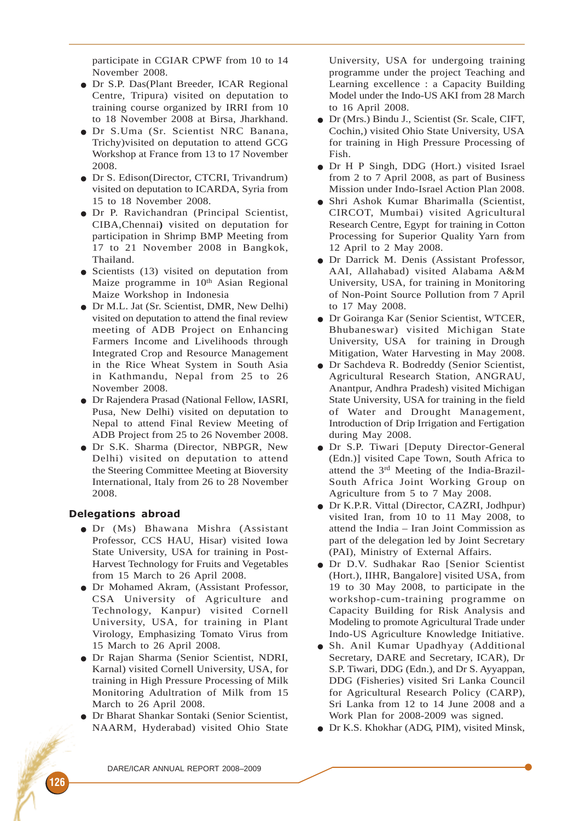participate in CGIAR CPWF from 10 to 14 November 2008.

- Dr S.P. Das(Plant Breeder, ICAR Regional Centre, Tripura) visited on deputation to training course organized by IRRI from 10 to 18 November 2008 at Birsa, Jharkhand.
- Dr S.Uma (Sr. Scientist NRC Banana, Trichy)visited on deputation to attend GCG Workshop at France from 13 to 17 November 2008.
- Dr S. Edison(Director, CTCRI, Trivandrum) visited on deputation to ICARDA, Syria from 15 to 18 November 2008.
- Dr P. Ravichandran (Principal Scientist, CIBA,Chennai**)** visited on deputation for participation in Shrimp BMP Meeting from 17 to 21 November 2008 in Bangkok, Thailand.
- Scientists (13) visited on deputation from Maize programme in 10<sup>th</sup> Asian Regional Maize Workshop in Indonesia
- Dr M.L. Jat (Sr. Scientist, DMR, New Delhi) visited on deputation to attend the final review meeting of ADB Project on Enhancing Farmers Income and Livelihoods through Integrated Crop and Resource Management in the Rice Wheat System in South Asia in Kathmandu, Nepal from 25 to 26 November 2008.
- Dr Rajendera Prasad (National Fellow, IASRI, Pusa, New Delhi) visited on deputation to Nepal to attend Final Review Meeting of ADB Project from 25 to 26 November 2008.
- Dr S.K. Sharma (Director, NBPGR, New Delhi) visited on deputation to attend the Steering Committee Meeting at Bioversity International, Italy from 26 to 28 November 2008.

## Delegations abroad

- Dr (Ms) Bhawana Mishra (Assistant Professor, CCS HAU, Hisar) visited Iowa State University, USA for training in Post-Harvest Technology for Fruits and Vegetables from 15 March to 26 April 2008.
- Dr Mohamed Akram, (Assistant Professor, CSA University of Agriculture and Technology, Kanpur) visited Cornell University, USA, for training in Plant Virology, Emphasizing Tomato Virus from 15 March to 26 April 2008.
- Dr Rajan Sharma (Senior Scientist, NDRI, Karnal) visited Cornell University, USA, for training in High Pressure Processing of Milk Monitoring Adultration of Milk from 15 March to 26 April 2008.
- Dr Bharat Shankar Sontaki (Senior Scientist, NAARM, Hyderabad) visited Ohio State

University, USA for undergoing training programme under the project Teaching and Learning excellence : a Capacity Building Model under the Indo-US AKI from 28 March to 16 April 2008.

- Dr (Mrs.) Bindu J., Scientist (Sr. Scale, CIFT, Cochin,) visited Ohio State University, USA for training in High Pressure Processing of Fish.
- Dr H P Singh, DDG (Hort.) visited Israel from 2 to 7 April 2008, as part of Business Mission under Indo-Israel Action Plan 2008.
- Shri Ashok Kumar Bharimalla (Scientist, CIRCOT, Mumbai) visited Agricultural Research Centre, Egypt for training in Cotton Processing for Superior Quality Yarn from 12 April to 2 May 2008.
- Dr Darrick M. Denis (Assistant Professor, AAI, Allahabad) visited Alabama A&M University, USA, for training in Monitoring of Non-Point Source Pollution from 7 April to 17 May 2008.
- Dr Goiranga Kar (Senior Scientist, WTCER, Bhubaneswar) visited Michigan State University, USA for training in Drough Mitigation, Water Harvesting in May 2008.
- Dr Sachdeva R. Bodreddy (Senior Scientist, Agricultural Research Station, ANGRAU, Anantpur, Andhra Pradesh) visited Michigan State University, USA for training in the field of Water and Drought Management, Introduction of Drip Irrigation and Fertigation during May 2008.
- Dr S.P. Tiwari [Deputy Director-General (Edn.)] visited Cape Town, South Africa to attend the 3rd Meeting of the India-Brazil-South Africa Joint Working Group on Agriculture from 5 to 7 May 2008.
- Dr K.P.R. Vittal (Director, CAZRI, Jodhpur) visited Iran, from 10 to 11 May 2008, to attend the India – Iran Joint Commission as part of the delegation led by Joint Secretary (PAI), Ministry of External Affairs.
- Dr D.V. Sudhakar Rao [Senior Scientist (Hort.), IIHR, Bangalore] visited USA, from 19 to 30 May 2008, to participate in the workshop-cum-training programme on Capacity Building for Risk Analysis and Modeling to promote Agricultural Trade under Indo-US Agriculture Knowledge Initiative.
- Sh. Anil Kumar Upadhyay (Additional Secretary, DARE and Secretary, ICAR), Dr S.P. Tiwari, DDG (Edn.), and Dr S. Ayyappan, DDG (Fisheries) visited Sri Lanka Council for Agricultural Research Policy (CARP), Sri Lanka from 12 to 14 June 2008 and a Work Plan for 2008-2009 was signed.
- Dr K.S. Khokhar (ADG, PIM), visited Minsk,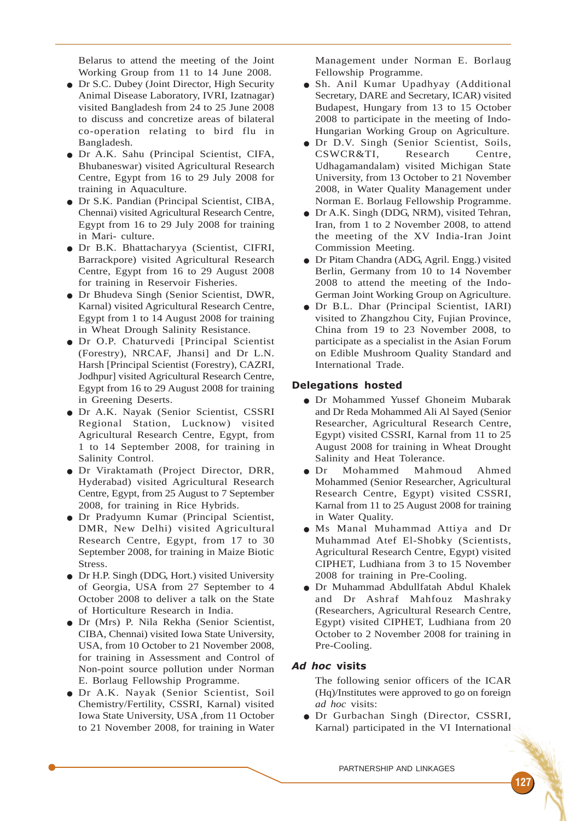Belarus to attend the meeting of the Joint Working Group from 11 to 14 June 2008.

- Dr S.C. Dubey (Joint Director, High Security Animal Disease Laboratory, IVRI, Izatnagar) visited Bangladesh from 24 to 25 June 2008 to discuss and concretize areas of bilateral co-operation relating to bird flu in Bangladesh.
- Dr A.K. Sahu (Principal Scientist, CIFA, Bhubaneswar) visited Agricultural Research Centre, Egypt from 16 to 29 July 2008 for training in Aquaculture.
- Dr S.K. Pandian (Principal Scientist, CIBA, Chennai) visited Agricultural Research Centre, Egypt from 16 to 29 July 2008 for training in Mari- culture.
- Dr B.K. Bhattacharyya (Scientist, CIFRI, Barrackpore) visited Agricultural Research Centre, Egypt from 16 to 29 August 2008 for training in Reservoir Fisheries.
- Dr Bhudeva Singh (Senior Scientist, DWR, Karnal) visited Agricultural Research Centre, Egypt from 1 to 14 August 2008 for training in Wheat Drough Salinity Resistance.
- Dr O.P. Chaturvedi [Principal Scientist (Forestry), NRCAF, Jhansi] and Dr L.N. Harsh [Principal Scientist (Forestry), CAZRI, Jodhpur] visited Agricultural Research Centre, Egypt from 16 to 29 August 2008 for training in Greening Deserts.
- Dr A.K. Nayak (Senior Scientist, CSSRI Regional Station, Lucknow) visited Agricultural Research Centre, Egypt, from 1 to 14 September 2008, for training in Salinity Control.
- Dr Viraktamath (Project Director, DRR, Hyderabad) visited Agricultural Research Centre, Egypt, from 25 August to 7 September 2008, for training in Rice Hybrids.
- Dr Pradyumn Kumar (Principal Scientist, DMR, New Delhi) visited Agricultural Research Centre, Egypt, from 17 to 30 September 2008, for training in Maize Biotic Stress.
- Dr H.P. Singh (DDG, Hort.) visited University of Georgia, USA from 27 September to 4 October 2008 to deliver a talk on the State of Horticulture Research in India.
- Dr (Mrs) P. Nila Rekha (Senior Scientist, CIBA, Chennai) visited Iowa State University, USA, from 10 October to 21 November 2008, for training in Assessment and Control of Non-point source pollution under Norman E. Borlaug Fellowship Programme.
- Dr A.K. Nayak (Senior Scientist, Soil Chemistry/Fertility, CSSRI, Karnal) visited Iowa State University, USA ,from 11 October to 21 November 2008, for training in Water

Management under Norman E. Borlaug Fellowship Programme.

- Sh. Anil Kumar Upadhyay (Additional Secretary, DARE and Secretary, ICAR) visited Budapest, Hungary from 13 to 15 October 2008 to participate in the meeting of Indo-Hungarian Working Group on Agriculture.
- Dr D.V. Singh (Senior Scientist, Soils, CSWCR&TI, Research Centre, Udhagamandalam) visited Michigan State University, from 13 October to 21 November 2008, in Water Quality Management under Norman E. Borlaug Fellowship Programme.
- Dr A.K. Singh (DDG, NRM), visited Tehran, Iran, from 1 to 2 November 2008, to attend the meeting of the XV India-Iran Joint Commission Meeting.
- Dr Pitam Chandra (ADG, Agril. Engg.) visited Berlin, Germany from 10 to 14 November 2008 to attend the meeting of the Indo-German Joint Working Group on Agriculture.
- Dr B.L. Dhar (Principal Scientist, IARI) visited to Zhangzhou City, Fujian Province, China from 19 to 23 November 2008, to participate as a specialist in the Asian Forum on Edible Mushroom Quality Standard and International Trade.

## Delegations hosted

- Dr Mohammed Yussef Ghoneim Mubarak and Dr Reda Mohammed Ali Al Sayed (Senior Researcher, Agricultural Research Centre, Egypt) visited CSSRI, Karnal from 11 to 25 August 2008 for training in Wheat Drought Salinity and Heat Tolerance.
- Dr Mohammed Mahmoud Ahmed Mohammed (Senior Researcher, Agricultural Research Centre, Egypt) visited CSSRI, Karnal from 11 to 25 August 2008 for training in Water Quality.
- Ms Manal Muhammad Attiya and Dr Muhammad Atef El-Shobky (Scientists, Agricultural Research Centre, Egypt) visited CIPHET, Ludhiana from 3 to 15 November 2008 for training in Pre-Cooling.
- Dr Muhammad Abdullfatah Abdul Khalek and Dr Ashraf Mahfouz Mashraky (Researchers, Agricultural Research Centre, Egypt) visited CIPHET, Ludhiana from 20 October to 2 November 2008 for training in Pre-Cooling.

## Ad hoc visits

The following senior officers of the ICAR (Hq)/Institutes were approved to go on foreign *ad hoc* visits:

● Dr Gurbachan Singh (Director, CSSRI, Karnal) participated in the VI International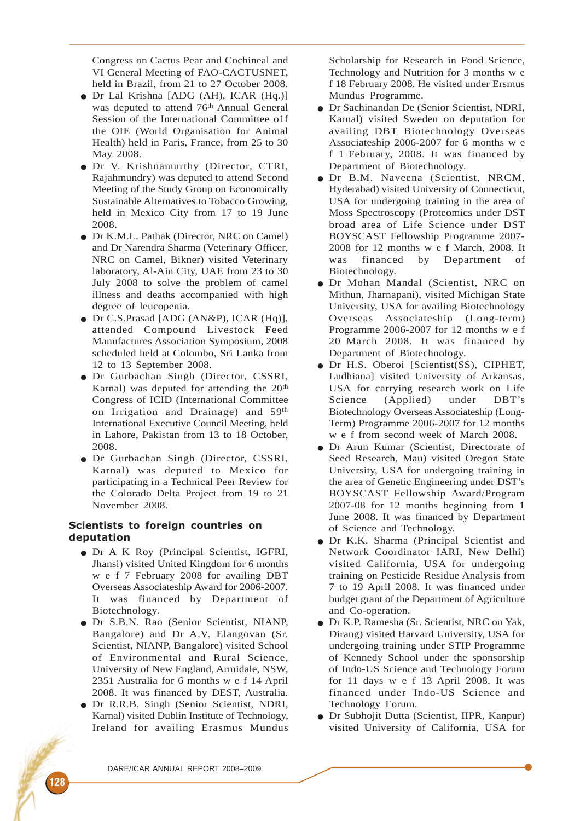Congress on Cactus Pear and Cochineal and VI General Meeting of FAO-CACTUSNET, held in Brazil, from 21 to 27 October 2008.

- Dr Lal Krishna [ADG (AH), ICAR (Hq.)] was deputed to attend 76<sup>th</sup> Annual General Session of the International Committee o1f the OIE (World Organisation for Animal Health) held in Paris, France, from 25 to 30 May 2008.
- Dr V. Krishnamurthy (Director, CTRI, Rajahmundry) was deputed to attend Second Meeting of the Study Group on Economically Sustainable Alternatives to Tobacco Growing, held in Mexico City from 17 to 19 June 2008.
- Dr K.M.L. Pathak (Director, NRC on Camel) and Dr Narendra Sharma (Veterinary Officer, NRC on Camel, Bikner) visited Veterinary laboratory, Al-Ain City, UAE from 23 to 30 July 2008 to solve the problem of camel illness and deaths accompanied with high degree of leucopenia.
- Dr C.S.Prasad [ADG (AN&P), ICAR (Hq)], attended Compound Livestock Feed Manufactures Association Symposium, 2008 scheduled held at Colombo, Sri Lanka from 12 to 13 September 2008.
- Dr Gurbachan Singh (Director, CSSRI, Karnal) was deputed for attending the 20<sup>th</sup> Congress of ICID (International Committee on Irrigation and Drainage) and 59th International Executive Council Meeting, held in Lahore, Pakistan from 13 to 18 October, 2008.
- Dr Gurbachan Singh (Director, CSSRI, Karnal) was deputed to Mexico for participating in a Technical Peer Review for the Colorado Delta Project from 19 to 21 November 2008.

# Scientists to foreign countries on deputation

- Dr A K Roy (Principal Scientist, IGFRI, Jhansi) visited United Kingdom for 6 months w e f 7 February 2008 for availing DBT Overseas Associateship Award for 2006-2007. It was financed by Department of Biotechnology.
- Dr S.B.N. Rao (Senior Scientist, NIANP, Bangalore) and Dr A.V. Elangovan (Sr. Scientist, NIANP, Bangalore) visited School of Environmental and Rural Science, University of New England, Armidale, NSW, 2351 Australia for 6 months w e f 14 April 2008. It was financed by DEST, Australia.
- Dr R.R.B. Singh (Senior Scientist, NDRI, Karnal) visited Dublin Institute of Technology, Ireland for availing Erasmus Mundus

Scholarship for Research in Food Science, Technology and Nutrition for 3 months w e f 18 February 2008. He visited under Ersmus Mundus Programme.

- Dr Sachinandan De (Senior Scientist, NDRI, Karnal) visited Sweden on deputation for availing DBT Biotechnology Overseas Associateship 2006-2007 for 6 months w e f 1 February, 2008. It was financed by Department of Biotechnology.
- Dr B.M. Naveena (Scientist, NRCM, Hyderabad) visited University of Connecticut, USA for undergoing training in the area of Moss Spectroscopy (Proteomics under DST broad area of Life Science under DST BOYSCAST Fellowship Programme 2007- 2008 for 12 months w e f March, 2008. It was financed by Department of Biotechnology.
- Dr Mohan Mandal (Scientist, NRC on Mithun, Jharnapani), visited Michigan State University, USA for availing Biotechnology Overseas Associateship (Long-term) Programme 2006-2007 for 12 months w e f 20 March 2008. It was financed by Department of Biotechnology.
- Dr H.S. Oberoi [Scientist(SS), CIPHET, Ludhiana] visited University of Arkansas, USA for carrying research work on Life Science (Applied) under DBT's Biotechnology Overseas Associateship (Long-Term) Programme 2006-2007 for 12 months w e f from second week of March 2008.
- Dr Arun Kumar (Scientist, Directorate of Seed Research, Mau) visited Oregon State University, USA for undergoing training in the area of Genetic Engineering under DST's BOYSCAST Fellowship Award/Program 2007-08 for 12 months beginning from 1 June 2008. It was financed by Department of Science and Technology.
- Dr K.K. Sharma (Principal Scientist and Network Coordinator IARI, New Delhi) visited California, USA for undergoing training on Pesticide Residue Analysis from 7 to 19 April 2008. It was financed under budget grant of the Department of Agriculture and Co-operation.
- Dr K.P. Ramesha (Sr. Scientist, NRC on Yak, Dirang) visited Harvard University, USA for undergoing training under STIP Programme of Kennedy School under the sponsorship of Indo-US Science and Technology Forum for 11 days w e f 13 April 2008. It was financed under Indo-US Science and Technology Forum.
- Dr Subhojit Dutta (Scientist, IIPR, Kanpur) visited University of California, USA for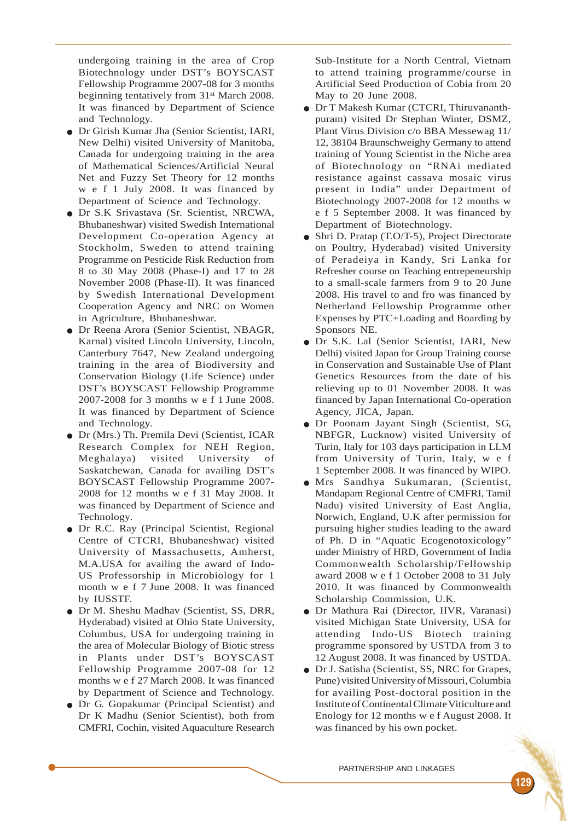undergoing training in the area of Crop Biotechnology under DST's BOYSCAST Fellowship Programme 2007-08 for 3 months beginning tentatively from 31st March 2008. It was financed by Department of Science and Technology.

- Dr Girish Kumar Jha (Senior Scientist, IARI, New Delhi) visited University of Manitoba, Canada for undergoing training in the area of Mathematical Sciences/Artificial Neural Net and Fuzzy Set Theory for 12 months w e f 1 July 2008. It was financed by Department of Science and Technology.
- Dr S.K Srivastava (Sr. Scientist, NRCWA, Bhubaneshwar) visited Swedish International Development Co-operation Agency at Stockholm, Sweden to attend training Programme on Pesticide Risk Reduction from 8 to 30 May 2008 (Phase-I) and 17 to 28 November 2008 (Phase-II). It was financed by Swedish International Development Cooperation Agency and NRC on Women in Agriculture, Bhubaneshwar.
- Dr Reena Arora (Senior Scientist, NBAGR, Karnal) visited Lincoln University, Lincoln, Canterbury 7647, New Zealand undergoing training in the area of Biodiversity and Conservation Biology (Life Science) under DST's BOYSCAST Fellowship Programme 2007-2008 for 3 months w e f 1 June 2008. It was financed by Department of Science and Technology.
- Dr (Mrs.) Th. Premila Devi (Scientist, ICAR Research Complex for NEH Region, Meghalaya) visited University of Saskatchewan, Canada for availing DST's BOYSCAST Fellowship Programme 2007- 2008 for 12 months w e f 31 May 2008. It was financed by Department of Science and Technology.
- Dr R.C. Ray (Principal Scientist, Regional Centre of CTCRI, Bhubaneshwar) visited University of Massachusetts, Amherst, M.A.USA for availing the award of Indo-US Professorship in Microbiology for 1 month w e f 7 June 2008. It was financed by IUSSTF.
- Dr M. Sheshu Madhav (Scientist, SS, DRR, Hyderabad) visited at Ohio State University, Columbus, USA for undergoing training in the area of Molecular Biology of Biotic stress in Plants under DST's BOYSCAST Fellowship Programme 2007-08 for 12 months w e f 27 March 2008. It was financed by Department of Science and Technology.
- Dr G. Gopakumar (Principal Scientist) and Dr K Madhu (Senior Scientist), both from CMFRI, Cochin, visited Aquaculture Research

Sub-Institute for a North Central, Vietnam to attend training programme/course in Artificial Seed Production of Cobia from 20 May to 20 June 2008.

- Dr T Makesh Kumar (CTCRI, Thiruvananthpuram) visited Dr Stephan Winter, DSMZ, Plant Virus Division c/o BBA Messewag 11/ 12, 38104 Braunschweighy Germany to attend training of Young Scientist in the Niche area of Biotechnology on "RNAi mediated resistance against cassava mosaic virus present in India" under Department of Biotechnology 2007-2008 for 12 months w e f 5 September 2008. It was financed by Department of Biotechnology.
- Shri D. Pratap (T.O/T-5), Project Directorate on Poultry, Hyderabad) visited University of Peradeiya in Kandy, Sri Lanka for Refresher course on Teaching entrepeneurship to a small-scale farmers from 9 to 20 June 2008. His travel to and fro was financed by Netherland Fellowship Programme other Expenses by PTC+Loading and Boarding by Sponsors NE.
- Dr S.K. Lal (Senior Scientist, IARI, New Delhi) visited Japan for Group Training course in Conservation and Sustainable Use of Plant Genetics Resources from the date of his relieving up to 01 November 2008. It was financed by Japan International Co-operation Agency, JICA, Japan.
- Dr Poonam Jayant Singh (Scientist, SG, NBFGR, Lucknow) visited University of Turin, Italy for 103 days participation in LLM from University of Turin, Italy, w e f 1 September 2008. It was financed by WIPO.
- Mrs Sandhya Sukumaran, (Scientist, Mandapam Regional Centre of CMFRI, Tamil Nadu) visited University of East Anglia, Norwich, England, U.K after permission for pursuing higher studies leading to the award of Ph. D in "Aquatic Ecogenotoxicology" under Ministry of HRD, Government of India Commonwealth Scholarship/Fellowship award 2008 w e f 1 October 2008 to 31 July 2010. It was financed by Commonwealth Scholarship Commission, U.K.
- Dr Mathura Rai (Director, IIVR, Varanasi) visited Michigan State University, USA for attending Indo-US Biotech training programme sponsored by USTDA from 3 to 12 August 2008. It was financed by USTDA.
- Dr J. Satisha (Scientist, SS, NRC for Grapes, Pune) visited University of Missouri, Columbia for availing Post-doctoral position in the Institute of Continental Climate Viticulture and Enology for 12 months w e f August 2008. It was financed by his own pocket.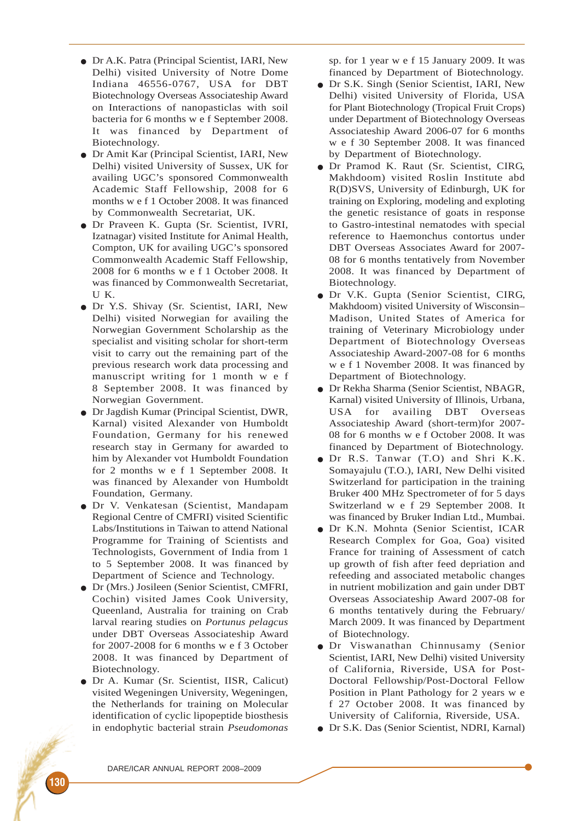- Dr A.K. Patra (Principal Scientist, IARI, New Delhi) visited University of Notre Dome Indiana 46556-0767, USA for DBT Biotechnology Overseas Associateship Award on Interactions of nanopasticlas with soil bacteria for 6 months w e f September 2008. It was financed by Department of Biotechnology.
- Dr Amit Kar (Principal Scientist, IARI, New Delhi) visited University of Sussex, UK for availing UGC's sponsored Commonwealth Academic Staff Fellowship, 2008 for 6 months w e f 1 October 2008. It was financed by Commonwealth Secretariat, UK.
- Dr Praveen K. Gupta (Sr. Scientist, IVRI, Izatnagar) visited Institute for Animal Health, Compton, UK for availing UGC's sponsored Commonwealth Academic Staff Fellowship, 2008 for 6 months w e f 1 October 2008. It was financed by Commonwealth Secretariat, U K.
- Dr Y.S. Shivay (Sr. Scientist, IARI, New Delhi) visited Norwegian for availing the Norwegian Government Scholarship as the specialist and visiting scholar for short-term visit to carry out the remaining part of the previous research work data processing and manuscript writing for 1 month w e f 8 September 2008. It was financed by Norwegian Government.
- Dr Jagdish Kumar (Principal Scientist, DWR, Karnal) visited Alexander von Humboldt Foundation, Germany for his renewed research stay in Germany for awarded to him by Alexander vot Humboldt Foundation for 2 months w e f 1 September 2008. It was financed by Alexander von Humboldt Foundation, Germany.
- Dr V. Venkatesan (Scientist, Mandapam Regional Centre of CMFRI) visited Scientific Labs/Institutions in Taiwan to attend National Programme for Training of Scientists and Technologists, Government of India from 1 to 5 September 2008. It was financed by Department of Science and Technology.
- Dr (Mrs.) Josileen (Senior Scientist, CMFRI, Cochin) visited James Cook University, Queenland, Australia for training on Crab larval rearing studies on *Portunus pelagcus* under DBT Overseas Associateship Award for 2007-2008 for 6 months w e f 3 October 2008. It was financed by Department of Biotechnology.
- Dr A. Kumar (Sr. Scientist, IISR, Calicut) visited Wegeningen University, Wegeningen, the Netherlands for training on Molecular identification of cyclic lipopeptide biosthesis in endophytic bacterial strain *Pseudomonas*

sp. for 1 year w e f 15 January 2009. It was financed by Department of Biotechnology.

- Dr S.K. Singh (Senior Scientist, IARI, New Delhi) visited University of Florida, USA for Plant Biotechnology (Tropical Fruit Crops) under Department of Biotechnology Overseas Associateship Award 2006-07 for 6 months w e f 30 September 2008. It was financed by Department of Biotechnology.
- Dr Pramod K. Raut (Sr. Scientist, CIRG, Makhdoom) visited Roslin Institute abd R(D)SVS, University of Edinburgh, UK for training on Exploring, modeling and exploting the genetic resistance of goats in response to Gastro-intestinal nematodes with special reference to Haemonchus contortus under DBT Overseas Associates Award for 2007- 08 for 6 months tentatively from November 2008. It was financed by Department of Biotechnology.
- Dr V.K. Gupta (Senior Scientist, CIRG, Makhdoom) visited University of Wisconsin– Madison, United States of America for training of Veterinary Microbiology under Department of Biotechnology Overseas Associateship Award-2007-08 for 6 months w e f 1 November 2008. It was financed by Department of Biotechnology.
- Dr Rekha Sharma (Senior Scientist, NBAGR, Karnal) visited University of Illinois, Urbana, USA for availing DBT Overseas Associateship Award (short-term)for 2007- 08 for 6 months w e f October 2008. It was financed by Department of Biotechnology.
- Dr R.S. Tanwar (T.O) and Shri K.K. Somayajulu (T.O.), IARI, New Delhi visited Switzerland for participation in the training Bruker 400 MHz Spectrometer of for 5 days Switzerland w e f 29 September 2008. It was financed by Bruker Indian Ltd., Mumbai.
- Dr K.N. Mohnta (Senior Scientist, ICAR Research Complex for Goa, Goa) visited France for training of Assessment of catch up growth of fish after feed depriation and refeeding and associated metabolic changes in nutrient mobilization and gain under DBT Overseas Associateship Award 2007-08 for 6 months tentatively during the February/ March 2009. It was financed by Department of Biotechnology.
- Dr Viswanathan Chinnusamy (Senior Scientist, IARI, New Delhi) visited University of California, Riverside, USA for Post-Doctoral Fellowship/Post-Doctoral Fellow Position in Plant Pathology for 2 years w e f 27 October 2008. It was financed by University of California, Riverside, USA.
- Dr S.K. Das (Senior Scientist, NDRI, Karnal)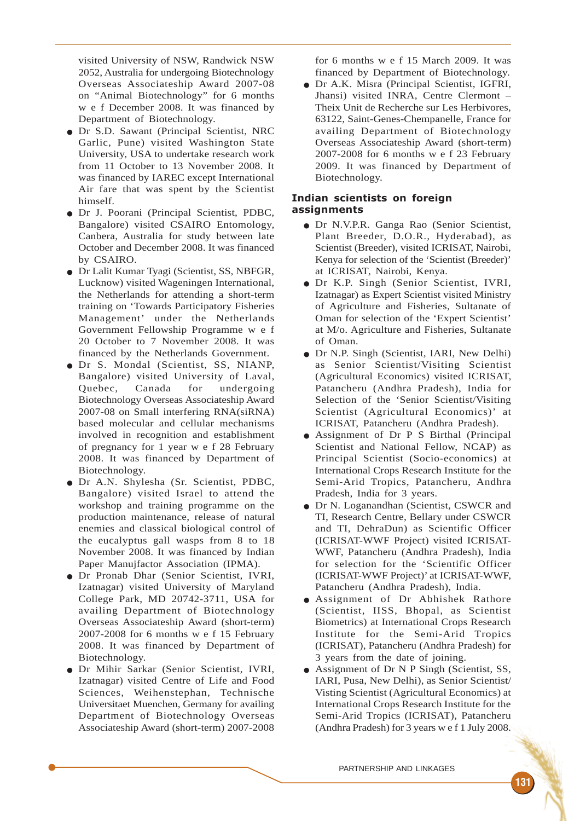visited University of NSW, Randwick NSW 2052, Australia for undergoing Biotechnology Overseas Associateship Award 2007-08 on "Animal Biotechnology" for 6 months w e f December 2008. It was financed by Department of Biotechnology.

- Dr S.D. Sawant (Principal Scientist, NRC Garlic, Pune) visited Washington State University, USA to undertake research work from 11 October to 13 November 2008. It was financed by IAREC except International Air fare that was spent by the Scientist himself.
- Dr J. Poorani (Principal Scientist, PDBC, Bangalore) visited CSAIRO Entomology, Canbera, Australia for study between late October and December 2008. It was financed by CSAIRO.
- Dr Lalit Kumar Tyagi (Scientist, SS, NBFGR, Lucknow) visited Wageningen International, the Netherlands for attending a short-term training on 'Towards Participatory Fisheries Management' under the Netherlands Government Fellowship Programme w e f 20 October to 7 November 2008. It was financed by the Netherlands Government.
- Dr S. Mondal (Scientist, SS, NIANP, Bangalore) visited University of Laval, Quebec, Canada for undergoing Biotechnology Overseas Associateship Award 2007-08 on Small interfering RNA(siRNA) based molecular and cellular mechanisms involved in recognition and establishment of pregnancy for 1 year w e f 28 February 2008. It was financed by Department of Biotechnology.
- Dr A.N. Shylesha (Sr. Scientist, PDBC, Bangalore) visited Israel to attend the workshop and training programme on the production maintenance, release of natural enemies and classical biological control of the eucalyptus gall wasps from 8 to 18 November 2008. It was financed by Indian Paper Manujfactor Association (IPMA).
- Dr Pronab Dhar (Senior Scientist, IVRI, Izatnagar) visited University of Maryland College Park, MD 20742-3711, USA for availing Department of Biotechnology Overseas Associateship Award (short-term) 2007-2008 for 6 months w e f 15 February 2008. It was financed by Department of Biotechnology.
- Dr Mihir Sarkar (Senior Scientist, IVRI, Izatnagar) visited Centre of Life and Food Sciences, Weihenstephan, Technische Universitaet Muenchen, Germany for availing Department of Biotechnology Overseas Associateship Award (short-term) 2007-2008

for 6 months w e f 15 March 2009. It was financed by Department of Biotechnology.

● Dr A.K. Misra (Principal Scientist, IGFRI, Jhansi) visited INRA, Centre Clermont – Theix Unit de Recherche sur Les Herbivores, 63122, Saint-Genes-Chempanelle, France for availing Department of Biotechnology Overseas Associateship Award (short-term) 2007-2008 for 6 months w e f 23 February 2009. It was financed by Department of Biotechnology.

## Indian scientists on foreign assignments

- Dr N.V.P.R. Ganga Rao (Senior Scientist, Plant Breeder, D.O.R., Hyderabad), as Scientist (Breeder), visited ICRISAT, Nairobi, Kenya for selection of the 'Scientist (Breeder)' at ICRISAT, Nairobi, Kenya.
- Dr K.P. Singh (Senior Scientist, IVRI, Izatnagar) as Expert Scientist visited Ministry of Agriculture and Fisheries, Sultanate of Oman for selection of the 'Expert Scientist' at M/o. Agriculture and Fisheries, Sultanate of Oman.
- Dr N.P. Singh (Scientist, IARI, New Delhi) as Senior Scientist/Visiting Scientist (Agricultural Economics) visited ICRISAT, Patancheru (Andhra Pradesh), India for Selection of the 'Senior Scientist/Visiting Scientist (Agricultural Economics)' at ICRISAT, Patancheru (Andhra Pradesh).
- Assignment of Dr P S Birthal (Principal Scientist and National Fellow, NCAP) as Principal Scientist (Socio-economics) at International Crops Research Institute for the Semi-Arid Tropics, Patancheru, Andhra Pradesh, India for 3 years.
- Dr N. Loganandhan (Scientist, CSWCR and TI, Research Centre, Bellary under CSWCR and TI, DehraDun) as Scientific Officer (ICRISAT-WWF Project) visited ICRISAT-WWF, Patancheru (Andhra Pradesh), India for selection for the 'Scientific Officer (ICRISAT-WWF Project)' at ICRISAT-WWF, Patancheru (Andhra Pradesh), India.
- Assignment of Dr Abhishek Rathore (Scientist, IISS, Bhopal, as Scientist Biometrics) at International Crops Research Institute for the Semi-Arid Tropics (ICRISAT), Patancheru (Andhra Pradesh) for 3 years from the date of joining.
- Assignment of Dr N P Singh (Scientist, SS, IARI, Pusa, New Delhi), as Senior Scientist/ Visting Scientist (Agricultural Economics) at International Crops Research Institute for the Semi-Arid Tropics (ICRISAT), Patancheru (Andhra Pradesh) for 3 years w e f 1 July 2008.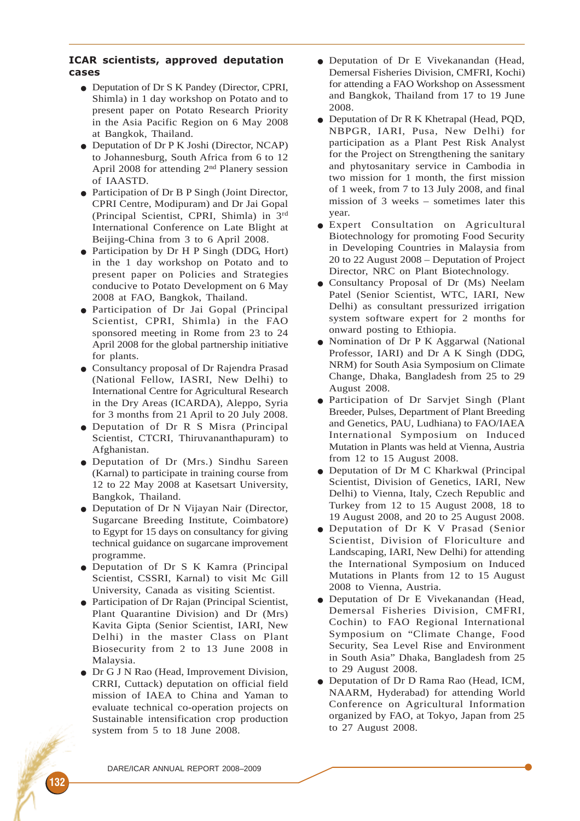#### ICAR scientists, approved deputation cases

- Deputation of Dr S K Pandey (Director, CPRI, Shimla) in 1 day workshop on Potato and to present paper on Potato Research Priority in the Asia Pacific Region on 6 May 2008 at Bangkok, Thailand.
- Deputation of Dr P K Joshi (Director, NCAP) to Johannesburg, South Africa from 6 to 12 April 2008 for attending 2nd Planery session of IAASTD.
- Participation of Dr B P Singh (Joint Director, CPRI Centre, Modipuram) and Dr Jai Gopal (Principal Scientist, CPRI, Shimla) in 3rd International Conference on Late Blight at Beijing-China from 3 to 6 April 2008.
- Participation by Dr H P Singh (DDG, Hort) in the 1 day workshop on Potato and to present paper on Policies and Strategies conducive to Potato Development on 6 May 2008 at FAO, Bangkok, Thailand.
- Participation of Dr Jai Gopal (Principal Scientist, CPRI, Shimla) in the FAO sponsored meeting in Rome from 23 to 24 April 2008 for the global partnership initiative for plants.
- Consultancy proposal of Dr Rajendra Prasad (National Fellow, IASRI, New Delhi) to International Centre for Agricultural Research in the Dry Areas (ICARDA), Aleppo, Syria for 3 months from 21 April to 20 July 2008.
- Deputation of Dr R S Misra (Principal Scientist, CTCRI, Thiruvananthapuram) to Afghanistan.
- Deputation of Dr (Mrs.) Sindhu Sareen (Karnal) to participate in training course from 12 to 22 May 2008 at Kasetsart University, Bangkok, Thailand.
- Deputation of Dr N Vijayan Nair (Director, Sugarcane Breeding Institute, Coimbatore) to Egypt for 15 days on consultancy for giving technical guidance on sugarcane improvement programme.
- Deputation of Dr S K Kamra (Principal Scientist, CSSRI, Karnal) to visit Mc Gill University, Canada as visiting Scientist.
- Participation of Dr Rajan (Principal Scientist, Plant Quarantine Division) and Dr (Mrs) Kavita Gipta (Senior Scientist, IARI, New Delhi) in the master Class on Plant Biosecurity from 2 to 13 June 2008 in Malaysia.
- Dr G J N Rao (Head, Improvement Division, CRRI, Cuttack) deputation on official field mission of IAEA to China and Yaman to evaluate technical co-operation projects on Sustainable intensification crop production system from 5 to 18 June 2008.
- Deputation of Dr E Vivekanandan (Head, Demersal Fisheries Division, CMFRI, Kochi) for attending a FAO Workshop on Assessment and Bangkok, Thailand from 17 to 19 June 2008.
- Deputation of Dr R K Khetrapal (Head, PQD, NBPGR, IARI, Pusa, New Delhi) for participation as a Plant Pest Risk Analyst for the Project on Strengthening the sanitary and phytosanitary service in Cambodia in two mission for 1 month, the first mission of 1 week, from 7 to 13 July 2008, and final mission of 3 weeks – sometimes later this year.
- Expert Consultation on Agricultural Biotechnology for promoting Food Security in Developing Countries in Malaysia from 20 to 22 August 2008 – Deputation of Project Director, NRC on Plant Biotechnology.
- Consultancy Proposal of Dr (Ms) Neelam Patel (Senior Scientist, WTC, IARI, New Delhi) as consultant pressurized irrigation system software expert for 2 months for onward posting to Ethiopia.
- Nomination of Dr P K Aggarwal (National Professor, IARI) and Dr A K Singh (DDG, NRM) for South Asia Symposium on Climate Change, Dhaka, Bangladesh from 25 to 29 August 2008.
- Participation of Dr Sarvjet Singh (Plant Breeder, Pulses, Department of Plant Breeding and Genetics, PAU, Ludhiana) to FAO/IAEA International Symposium on Induced Mutation in Plants was held at Vienna, Austria from 12 to 15 August 2008.
- Deputation of Dr M C Kharkwal (Principal Scientist, Division of Genetics, IARI, New Delhi) to Vienna, Italy, Czech Republic and Turkey from 12 to 15 August 2008, 18 to 19 August 2008, and 20 to 25 August 2008.
- Deputation of Dr K V Prasad (Senior Scientist, Division of Floriculture and Landscaping, IARI, New Delhi) for attending the International Symposium on Induced Mutations in Plants from 12 to 15 August 2008 to Vienna, Austria.
- Deputation of Dr E Vivekanandan (Head, Demersal Fisheries Division, CMFRI, Cochin) to FAO Regional International Symposium on "Climate Change, Food Security, Sea Level Rise and Environment in South Asia" Dhaka, Bangladesh from 25 to 29 August 2008.
- Deputation of Dr D Rama Rao (Head, ICM, NAARM, Hyderabad) for attending World Conference on Agricultural Information organized by FAO, at Tokyo, Japan from 25 to 27 August 2008.